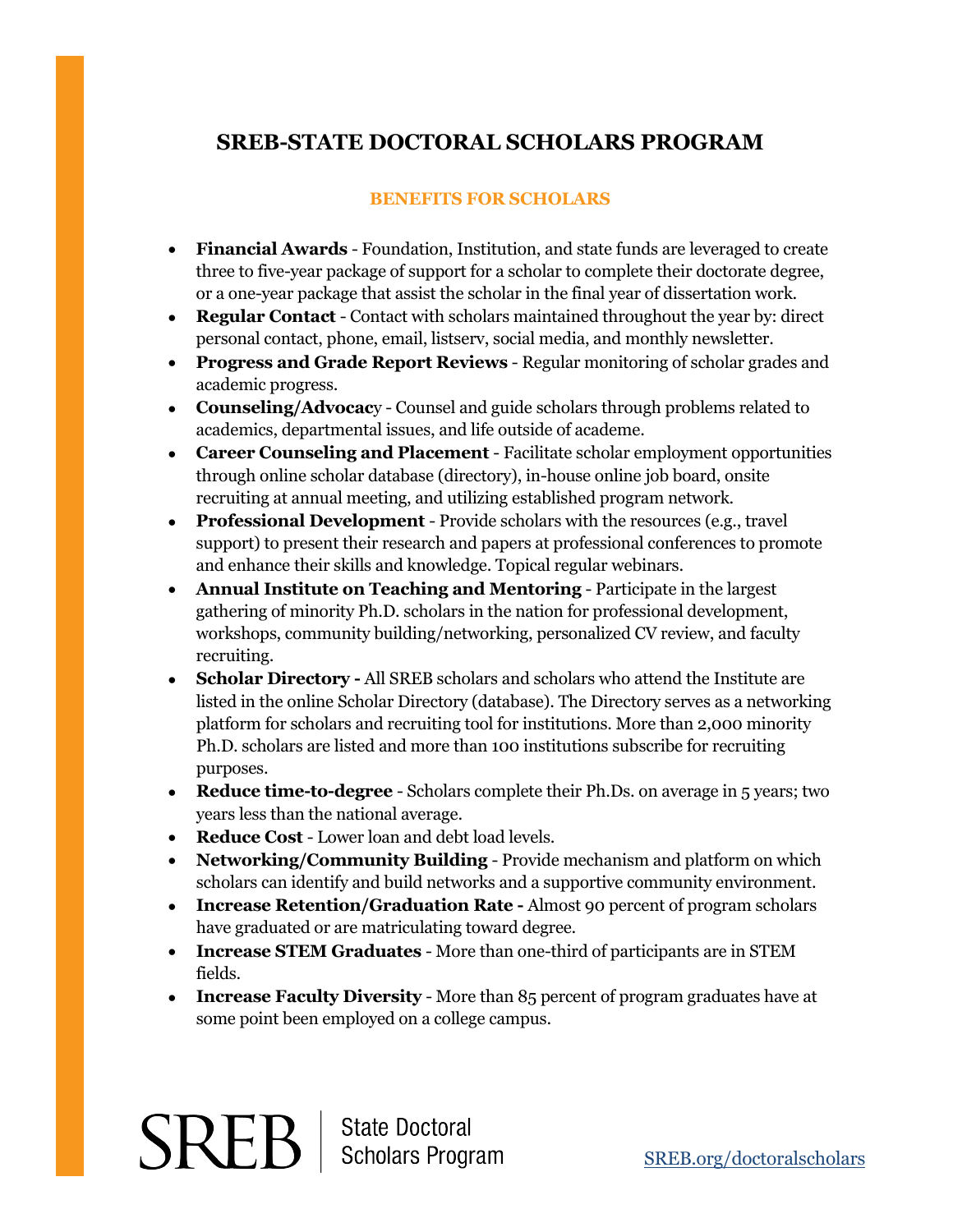## **SREB-STATE DOCTORAL SCHOLARS PROGRAM**

## **BENEFITS FOR SCHOLARS**

- **Financial Awards**  Foundation, Institution, and state funds are leveraged to create three to five-year package of support for a scholar to complete their doctorate degree, or a one-year package that assist the scholar in the final year of dissertation work.
- **Regular Contact**  Contact with scholars maintained throughout the year by: direct personal contact, phone, email, listserv, social media, and monthly newsletter.
- **Progress and Grade Report Reviews**  Regular monitoring of scholar grades and academic progress.
- **Counseling/Advocac**y Counsel and guide scholars through problems related to academics, departmental issues, and life outside of academe.
- **Career Counseling and Placement**  Facilitate scholar employment opportunities through online scholar database (directory), in-house online job board, onsite recruiting at annual meeting, and utilizing established program network.
- **Professional Development**  Provide scholars with the resources (e.g., travel support) to present their research and papers at professional conferences to promote and enhance their skills and knowledge. Topical regular webinars.
- **Annual Institute on Teaching and Mentoring**  Participate in the largest gathering of minority Ph.D. scholars in the nation for professional development, workshops, community building/networking, personalized CV review, and faculty recruiting.
- **Scholar Directory -** All SREB scholars and scholars who attend the Institute are listed in the online Scholar Directory (database). The Directory serves as a networking platform for scholars and recruiting tool for institutions. More than 2,000 minority Ph.D. scholars are listed and more than 100 institutions subscribe for recruiting purposes.
- **Reduce time-to-degree**  Scholars complete their Ph.Ds. on average in 5 years; two years less than the national average.
- **Reduce Cost**  Lower loan and debt load levels.
- **Networking/Community Building**  Provide mechanism and platform on which scholars can identify and build networks and a supportive community environment.
- **Increase Retention/Graduation Rate -** Almost 90 percent of program scholars have graduated or are matriculating toward degree.
- **Increase STEM Graduates**  More than one-third of participants are in STEM fields.
- **Increase Faculty Diversity**  More than 85 percent of program graduates have at some point been employed on a college campus.